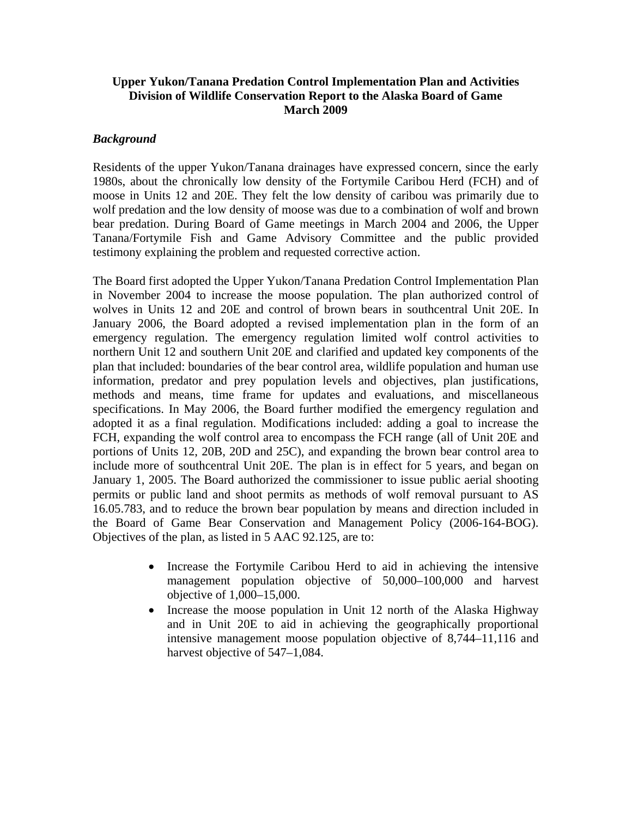# **Upper Yukon/Tanana Predation Control Implementation Plan and Activities Division of Wildlife Conservation Report to the Alaska Board of Game March 2009**

# *Background*

Residents of the upper Yukon/Tanana drainages have expressed concern, since the early 1980s, about the chronically low density of the Fortymile Caribou Herd (FCH) and of moose in Units 12 and 20E. They felt the low density of caribou was primarily due to wolf predation and the low density of moose was due to a combination of wolf and brown bear predation. During Board of Game meetings in March 2004 and 2006, the Upper Tanana/Fortymile Fish and Game Advisory Committee and the public provided testimony explaining the problem and requested corrective action.

The Board first adopted the Upper Yukon/Tanana Predation Control Implementation Plan in November 2004 to increase the moose population. The plan authorized control of wolves in Units 12 and 20E and control of brown bears in southcentral Unit 20E. In January 2006, the Board adopted a revised implementation plan in the form of an emergency regulation. The emergency regulation limited wolf control activities to northern Unit 12 and southern Unit 20E and clarified and updated key components of the plan that included: boundaries of the bear control area, wildlife population and human use information, predator and prey population levels and objectives, plan justifications, methods and means, time frame for updates and evaluations, and miscellaneous specifications. In May 2006, the Board further modified the emergency regulation and adopted it as a final regulation. Modifications included: adding a goal to increase the FCH, expanding the wolf control area to encompass the FCH range (all of Unit 20E and portions of Units 12, 20B, 20D and 25C), and expanding the brown bear control area to include more of southcentral Unit 20E. The plan is in effect for 5 years, and began on January 1, 2005. The Board authorized the commissioner to issue public aerial shooting permits or public land and shoot permits as methods of wolf removal pursuant to AS 16.05.783, and to reduce the brown bear population by means and direction included in the Board of Game Bear Conservation and Management Policy (2006-164-BOG). Objectives of the plan, as listed in 5 AAC 92.125, are to:

- Increase the Fortymile Caribou Herd to aid in achieving the intensive management population objective of 50,000–100,000 and harvest objective of 1,000–15,000.
- Increase the moose population in Unit 12 north of the Alaska Highway and in Unit 20E to aid in achieving the geographically proportional intensive management moose population objective of 8,744–11,116 and harvest objective of 547–1,084.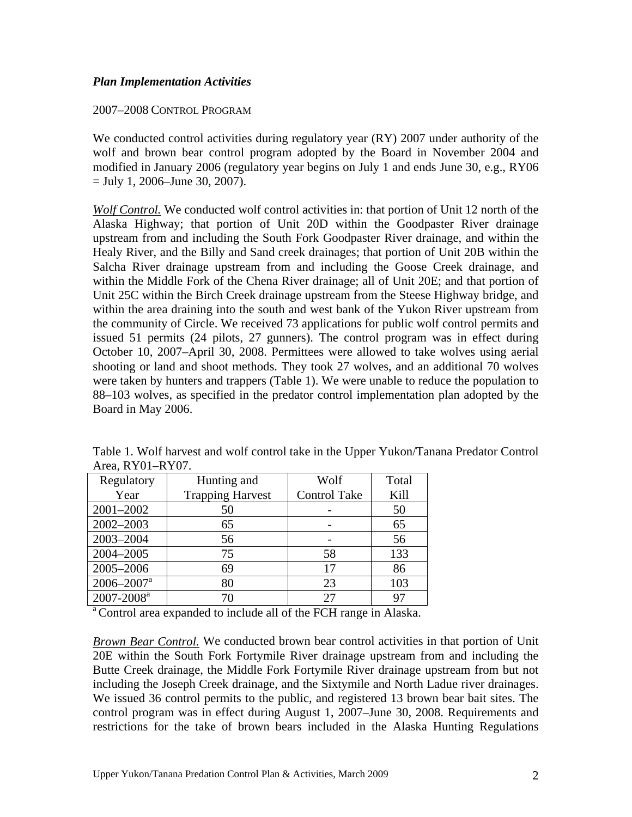# *Plan Implementation Activities*

## 2007–2008 CONTROL PROGRAM

We conducted control activities during regulatory year (RY) 2007 under authority of the wolf and brown bear control program adopted by the Board in November 2004 and modified in January 2006 (regulatory year begins on July 1 and ends June 30, e.g., RY06  $=$  July 1, 2006–June 30, 2007).

*Wolf Control.* We conducted wolf control activities in: that portion of Unit 12 north of the Alaska Highway; that portion of Unit 20D within the Goodpaster River drainage upstream from and including the South Fork Goodpaster River drainage, and within the Healy River, and the Billy and Sand creek drainages; that portion of Unit 20B within the Salcha River drainage upstream from and including the Goose Creek drainage, and within the Middle Fork of the Chena River drainage; all of Unit 20E; and that portion of Unit 25C within the Birch Creek drainage upstream from the Steese Highway bridge, and within the area draining into the south and west bank of the Yukon River upstream from the community of Circle. We received 73 applications for public wolf control permits and issued 51 permits (24 pilots, 27 gunners). The control program was in effect during October 10, 2007–April 30, 2008. Permittees were allowed to take wolves using aerial shooting or land and shoot methods. They took 27 wolves, and an additional 70 wolves were taken by hunters and trappers (Table 1). We were unable to reduce the population to 88–103 wolves, as specified in the predator control implementation plan adopted by the Board in May 2006.

| Hunting and             | Wolf                | Total                     |
|-------------------------|---------------------|---------------------------|
| <b>Trapping Harvest</b> | <b>Control Take</b> | Kill                      |
| 50                      |                     | 50                        |
| 65                      |                     | 65                        |
| 56                      |                     | 56                        |
| 75                      | 58                  | 133                       |
| 69                      | 17                  | 86                        |
| 80                      | 23                  | 103                       |
| 70                      | 27                  | 97                        |
|                         |                     | $1.104$ , $1.101$ $1.101$ |

Table 1. Wolf harvest and wolf control take in the Upper Yukon/Tanana Predator Control  $Area$ , RY $01-RY07$ 

<sup>a</sup> Control area expanded to include all of the FCH range in Alaska.

*Brown Bear Control.* We conducted brown bear control activities in that portion of Unit 20E within the South Fork Fortymile River drainage upstream from and including the Butte Creek drainage, the Middle Fork Fortymile River drainage upstream from but not including the Joseph Creek drainage, and the Sixtymile and North Ladue river drainages. We issued 36 control permits to the public, and registered 13 brown bear bait sites. The control program was in effect during August 1, 2007–June 30, 2008. Requirements and restrictions for the take of brown bears included in the Alaska Hunting Regulations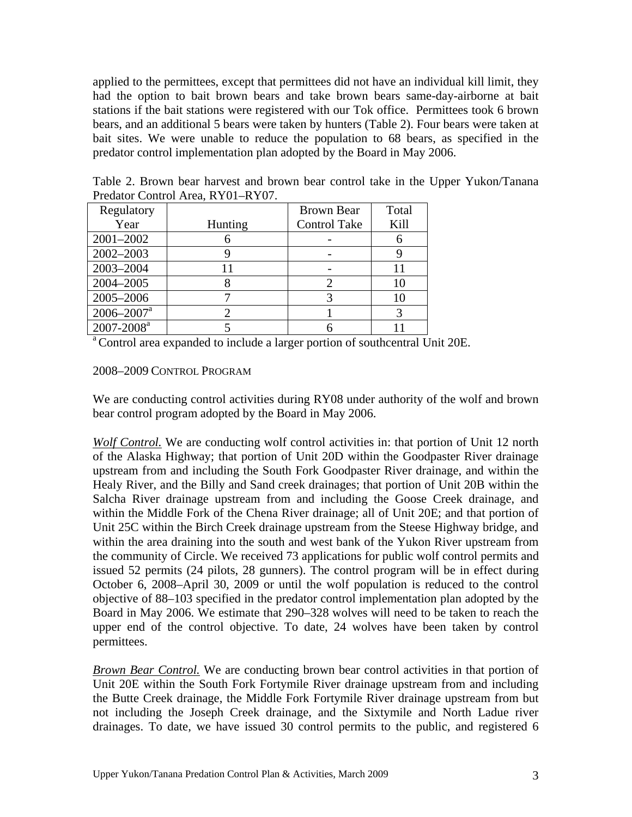applied to the permittees, except that permittees did not have an individual kill limit, they had the option to bait brown bears and take brown bears same-day-airborne at bait stations if the bait stations were registered with our Tok office. Permittees took 6 brown bears, and an additional 5 bears were taken by hunters (Table 2). Four bears were taken at bait sites. We were unable to reduce the population to 68 bears, as specified in the predator control implementation plan adopted by the Board in May 2006.

| Predator Control Area, RY01-RY07. |                |                     |       |  |
|-----------------------------------|----------------|---------------------|-------|--|
| Regulatory                        |                | Brown Bear          | Total |  |
| Year                              | <b>Hunting</b> | <b>Control Take</b> | Kill  |  |
| 2001-2002                         |                |                     |       |  |
| 2002-2003                         |                |                     |       |  |
| 2003-2004                         |                |                     |       |  |

2004–2005 8 2 10 2005–2006 7 3 10  $2006-2007^a$  2 1 3

Table 2. Brown bear harvest and brown bear control take in the Upper Yukon/Tanana

 $\frac{2007-2008^a}{a^a}$   $\frac{5}{a^a}$   $\frac{6}{a^b}$   $\frac{11}{b^a}$ <br>Control area expanded to include a larger portion of southcentral Unit 20E.

#### 2008–2009 CONTROL PROGRAM

We are conducting control activities during RY08 under authority of the wolf and brown bear control program adopted by the Board in May 2006.

*Wolf Control.* We are conducting wolf control activities in: that portion of Unit 12 north of the Alaska Highway; that portion of Unit 20D within the Goodpaster River drainage upstream from and including the South Fork Goodpaster River drainage, and within the Healy River, and the Billy and Sand creek drainages; that portion of Unit 20B within the Salcha River drainage upstream from and including the Goose Creek drainage, and within the Middle Fork of the Chena River drainage; all of Unit 20E; and that portion of Unit 25C within the Birch Creek drainage upstream from the Steese Highway bridge, and within the area draining into the south and west bank of the Yukon River upstream from the community of Circle. We received 73 applications for public wolf control permits and issued 52 permits (24 pilots, 28 gunners). The control program will be in effect during October 6, 2008–April 30, 2009 or until the wolf population is reduced to the control objective of 88–103 specified in the predator control implementation plan adopted by the Board in May 2006. We estimate that 290–328 wolves will need to be taken to reach the upper end of the control objective. To date, 24 wolves have been taken by control permittees.

*Brown Bear Control.* We are conducting brown bear control activities in that portion of Unit 20E within the South Fork Fortymile River drainage upstream from and including the Butte Creek drainage, the Middle Fork Fortymile River drainage upstream from but not including the Joseph Creek drainage, and the Sixtymile and North Ladue river drainages. To date, we have issued 30 control permits to the public, and registered 6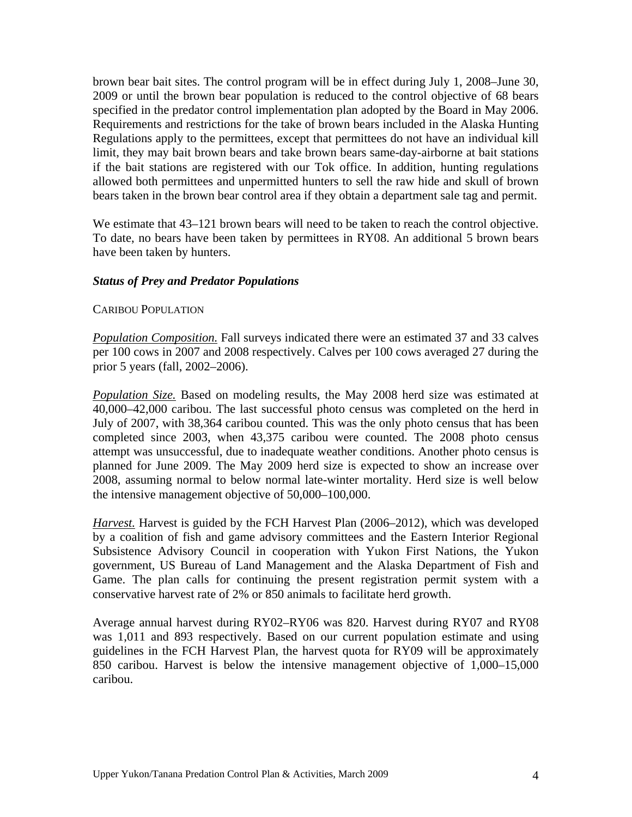brown bear bait sites. The control program will be in effect during July 1, 2008–June 30, 2009 or until the brown bear population is reduced to the control objective of 68 bears specified in the predator control implementation plan adopted by the Board in May 2006. Requirements and restrictions for the take of brown bears included in the Alaska Hunting Regulations apply to the permittees, except that permittees do not have an individual kill limit, they may bait brown bears and take brown bears same-day-airborne at bait stations if the bait stations are registered with our Tok office. In addition, hunting regulations allowed both permittees and unpermitted hunters to sell the raw hide and skull of brown bears taken in the brown bear control area if they obtain a department sale tag and permit.

We estimate that  $43-121$  brown bears will need to be taken to reach the control objective. To date, no bears have been taken by permittees in RY08. An additional 5 brown bears have been taken by hunters.

# *Status of Prey and Predator Populations*

## CARIBOU POPULATION

*Population Composition.* Fall surveys indicated there were an estimated 37 and 33 calves per 100 cows in 2007 and 2008 respectively. Calves per 100 cows averaged 27 during the prior 5 years (fall, 2002–2006).

*Population Size.* Based on modeling results, the May 2008 herd size was estimated at 40,000–42,000 caribou. The last successful photo census was completed on the herd in July of 2007, with 38,364 caribou counted. This was the only photo census that has been completed since 2003, when 43,375 caribou were counted. The 2008 photo census attempt was unsuccessful, due to inadequate weather conditions. Another photo census is planned for June 2009. The May 2009 herd size is expected to show an increase over 2008, assuming normal to below normal late-winter mortality. Herd size is well below the intensive management objective of 50,000–100,000.

*Harvest.* Harvest is guided by the FCH Harvest Plan (2006–2012), which was developed by a coalition of fish and game advisory committees and the Eastern Interior Regional Subsistence Advisory Council in cooperation with Yukon First Nations, the Yukon government, US Bureau of Land Management and the Alaska Department of Fish and Game. The plan calls for continuing the present registration permit system with a conservative harvest rate of 2% or 850 animals to facilitate herd growth.

Average annual harvest during RY02–RY06 was 820. Harvest during RY07 and RY08 was 1,011 and 893 respectively. Based on our current population estimate and using guidelines in the FCH Harvest Plan, the harvest quota for RY09 will be approximately 850 caribou. Harvest is below the intensive management objective of 1,000–15,000 caribou.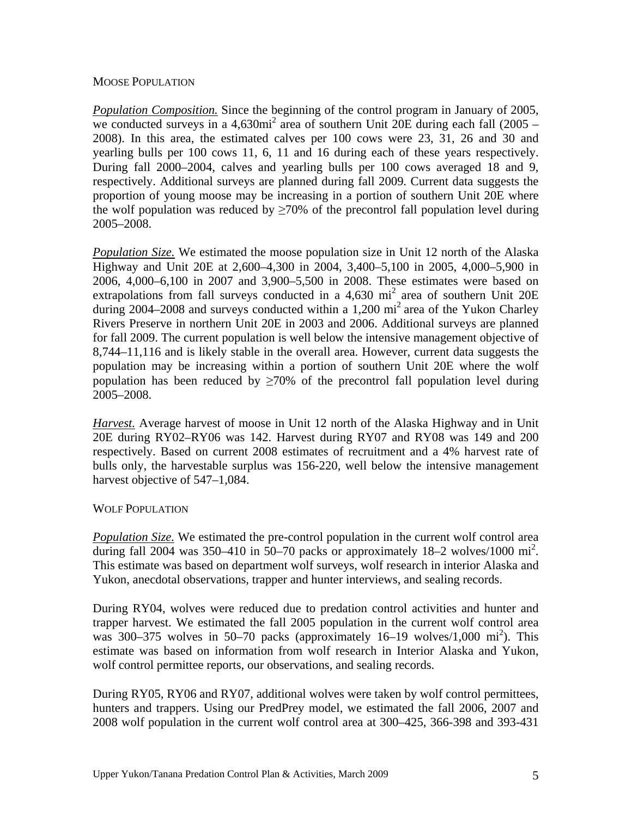## MOOSE POPULATION

*Population Composition.* Since the beginning of the control program in January of 2005, we conducted surveys in a  $4,630\text{mi}^2$  area of southern Unit 20E during each fall (2005 – 2008). In this area, the estimated calves per 100 cows were 23, 31, 26 and 30 and yearling bulls per 100 cows 11, 6, 11 and 16 during each of these years respectively. During fall 2000–2004, calves and yearling bulls per 100 cows averaged 18 and 9, respectively. Additional surveys are planned during fall 2009. Current data suggests the proportion of young moose may be increasing in a portion of southern Unit 20E where the wolf population was reduced by  $\geq 70\%$  of the precontrol fall population level during 2005–2008.

*Population Size.* We estimated the moose population size in Unit 12 north of the Alaska Highway and Unit 20E at 2,600–4,300 in 2004, 3,400–5,100 in 2005, 4,000–5,900 in 2006, 4,000–6,100 in 2007 and 3,900–5,500 in 2008. These estimates were based on extrapolations from fall surveys conducted in a  $4,630$  mi<sup>2</sup> area of southern Unit 20E during 2004–2008 and surveys conducted within a 1,200 mi<sup>2</sup> area of the Yukon Charley Rivers Preserve in northern Unit 20E in 2003 and 2006. Additional surveys are planned for fall 2009. The current population is well below the intensive management objective of 8,744–11,116 and is likely stable in the overall area. However, current data suggests the population may be increasing within a portion of southern Unit 20E where the wolf population has been reduced by  $\geq 70\%$  of the precontrol fall population level during 2005–2008.

*Harvest.* Average harvest of moose in Unit 12 north of the Alaska Highway and in Unit 20E during RY02–RY06 was 142. Harvest during RY07 and RY08 was 149 and 200 respectively. Based on current 2008 estimates of recruitment and a 4% harvest rate of bulls only, the harvestable surplus was 156-220, well below the intensive management harvest objective of 547–1,084.

## WOLF POPULATION

*Population Size.* We estimated the pre-control population in the current wolf control area during fall 2004 was 350–410 in 50–70 packs or approximately  $18-2$  wolves/1000 mi<sup>2</sup>. This estimate was based on department wolf surveys, wolf research in interior Alaska and Yukon, anecdotal observations, trapper and hunter interviews, and sealing records.

During RY04, wolves were reduced due to predation control activities and hunter and trapper harvest. We estimated the fall 2005 population in the current wolf control area was 300–375 wolves in 50–70 packs (approximately 16–19 wolves/1,000 mi<sup>2</sup>). This estimate was based on information from wolf research in Interior Alaska and Yukon, wolf control permittee reports, our observations, and sealing records.

During RY05, RY06 and RY07, additional wolves were taken by wolf control permittees, hunters and trappers. Using our PredPrey model, we estimated the fall 2006, 2007 and 2008 wolf population in the current wolf control area at 300–425, 366-398 and 393-431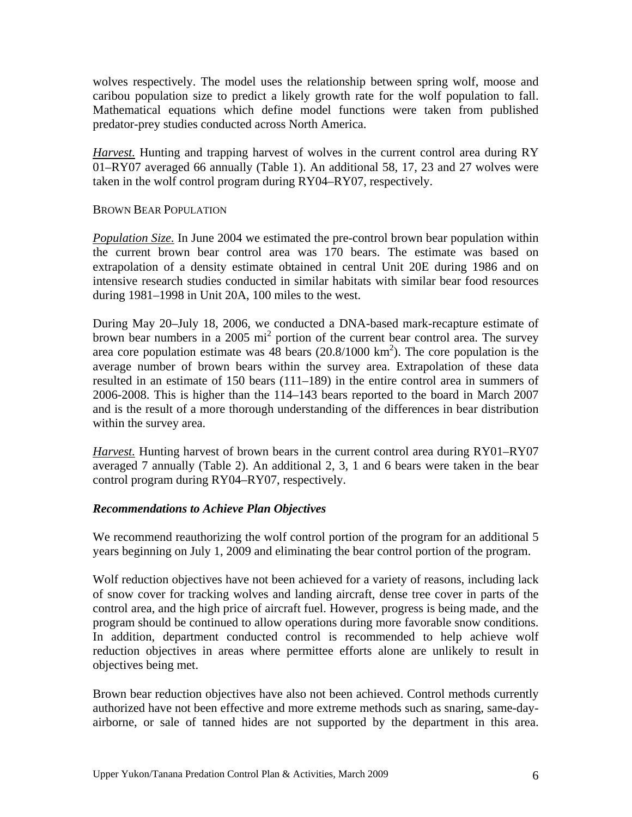wolves respectively. The model uses the relationship between spring wolf, moose and caribou population size to predict a likely growth rate for the wolf population to fall. Mathematical equations which define model functions were taken from published predator-prey studies conducted across North America.

*Harvest.* Hunting and trapping harvest of wolves in the current control area during RY 01–RY07 averaged 66 annually (Table 1). An additional 58, 17, 23 and 27 wolves were taken in the wolf control program during RY04–RY07, respectively.

## BROWN BEAR POPULATION

*Population Size.* In June 2004 we estimated the pre-control brown bear population within the current brown bear control area was 170 bears. The estimate was based on extrapolation of a density estimate obtained in central Unit 20E during 1986 and on intensive research studies conducted in similar habitats with similar bear food resources during 1981–1998 in Unit 20A, 100 miles to the west.

During May 20–July 18, 2006, we conducted a DNA-based mark-recapture estimate of brown bear numbers in a 2005 mi<sup>2</sup> portion of the current bear control area. The survey area core population estimate was 48 bears  $(20.8/1000 \text{ km}^2)$ . The core population is the average number of brown bears within the survey area. Extrapolation of these data resulted in an estimate of 150 bears (111–189) in the entire control area in summers of 2006-2008. This is higher than the 114–143 bears reported to the board in March 2007 and is the result of a more thorough understanding of the differences in bear distribution within the survey area.

*Harvest.* Hunting harvest of brown bears in the current control area during RY01–RY07 averaged 7 annually (Table 2). An additional 2, 3, 1 and 6 bears were taken in the bear control program during RY04–RY07, respectively.

## *Recommendations to Achieve Plan Objectives*

We recommend reauthorizing the wolf control portion of the program for an additional 5 years beginning on July 1, 2009 and eliminating the bear control portion of the program.

Wolf reduction objectives have not been achieved for a variety of reasons, including lack of snow cover for tracking wolves and landing aircraft, dense tree cover in parts of the control area, and the high price of aircraft fuel. However, progress is being made, and the program should be continued to allow operations during more favorable snow conditions. In addition, department conducted control is recommended to help achieve wolf reduction objectives in areas where permittee efforts alone are unlikely to result in objectives being met.

Brown bear reduction objectives have also not been achieved. Control methods currently authorized have not been effective and more extreme methods such as snaring, same-dayairborne, or sale of tanned hides are not supported by the department in this area.